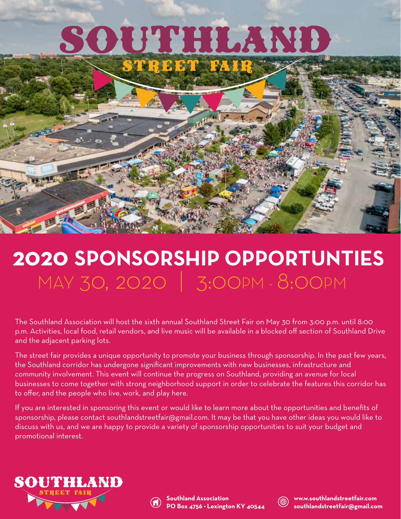# SOUTHLAND



## **2020 SPONSORSHIP OPPORTUNTIES** MAY 30, 2020 | 3:00PM - 8:00PM

The Southland Association will host the sixth annual Southland Street Fair on May 30 from 3:00 p.m. until 8:00 p.m. Activities, local food, retail vendors, and live music will be available in a blocked off section of Southland Drive and the adjacent parking lots.

The street fair provides a unique opportunity to promote your business through sponsorship. In the past few years, the Southland corridor has undergone significant improvements with new businesses, infrastructure and community involvement. This event will continue the progress on Southland, providing an avenue for local businesses to come together with strong neighborhood support in order to celebrate the features this corridor has to offer, and the people who live, work, and play here.

If you are interested in sponsoring this event or would like to learn more about the opportunities and benefits of sponsorship, please contact southlandstreetfair@gmail.com. It may be that you have other ideas you would like to discuss with us, and we are happy to provide a variety of sponsorship opportunities to suit your budget and promotional interest.





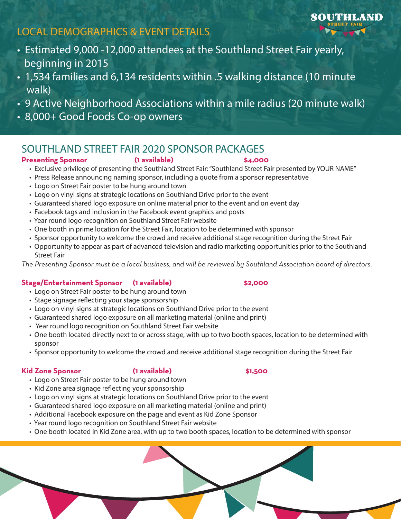## **LOCAL DEMOGRAPHICS & EVENT DETAILS**

- Estimated 9,000 -12,000 attendees at the Southland Street Fair yearly, beginning in 2015
- 1,534 families and 6,134 residents within .5 walking distance (10 minute walk)
- 9 Active Neighborhood Associations within a mile radius (20 minute walk)
- 8,000+ Good Foods Co-op owners

## **SOUTHLAND STREET FAIR 2020 SPONSOR PACKAGES Presenting Sponsor (1 available) \$4,000**

- Exclusive privilege of presenting the Southland Street Fair: "Southland Street Fair presented by YOUR NAME"
- Press Release announcing naming sponsor, including a quote from a sponsor representative
- Logo on Street Fair poster to be hung around town
- Logo on vinyl signs at strategic locations on Southland Drive prior to the event
- Guaranteed shared logo exposure on online material prior to the event and on event day
- Facebook tags and inclusion in the Facebook event graphics and posts
- Year round logo recognition on Southland Street Fair website
- One booth in prime location for the Street Fair, location to be determined with sponsor
- Sponsor opportunity to welcome the crowd and receive additional stage recognition during the Street Fair
- Street Fair

*The Presenting Sponsor must be a local business, and will be reviewed by Southland Association board of directors.*

## **Stage/Entertainment Sponsor (1 available) \$2,000**

- Logo on Street Fair poster to be hung around town
- Stage signage reflecting your stage sponsorship
- Logo on vinyl signs at strategic locations on Southland Drive prior to the event
- Guaranteed shared logo exposure on all marketing material (online and print)
- Year round logo recognition on Southland Street Fair website
- One booth located directly next to or across stage, with up to two booth spaces, location to be determined with sponsor
- Sponsor opportunity to welcome the crowd and receive additional stage recognition during the Street Fair

### **Kid Zone Sponsor (1 available) \$1,500**

- Logo on Street Fair poster to be hung around town
- Kid Zone area signage reflecting your sponsorship
- Logo on vinyl signs at strategic locations on Southland Drive prior to the event
- Guaranteed shared logo exposure on all marketing material (online and print)
- Additional Facebook exposure on the page and event as Kid Zone Sponsor
- Year round logo recognition on Southland Street Fair website
- One booth located in Kid Zone area, with up to two booth spaces, location to be determined with sponsor

- 
- Opportunity to appear as part of advanced television and radio marketing opportunities prior to the Southland